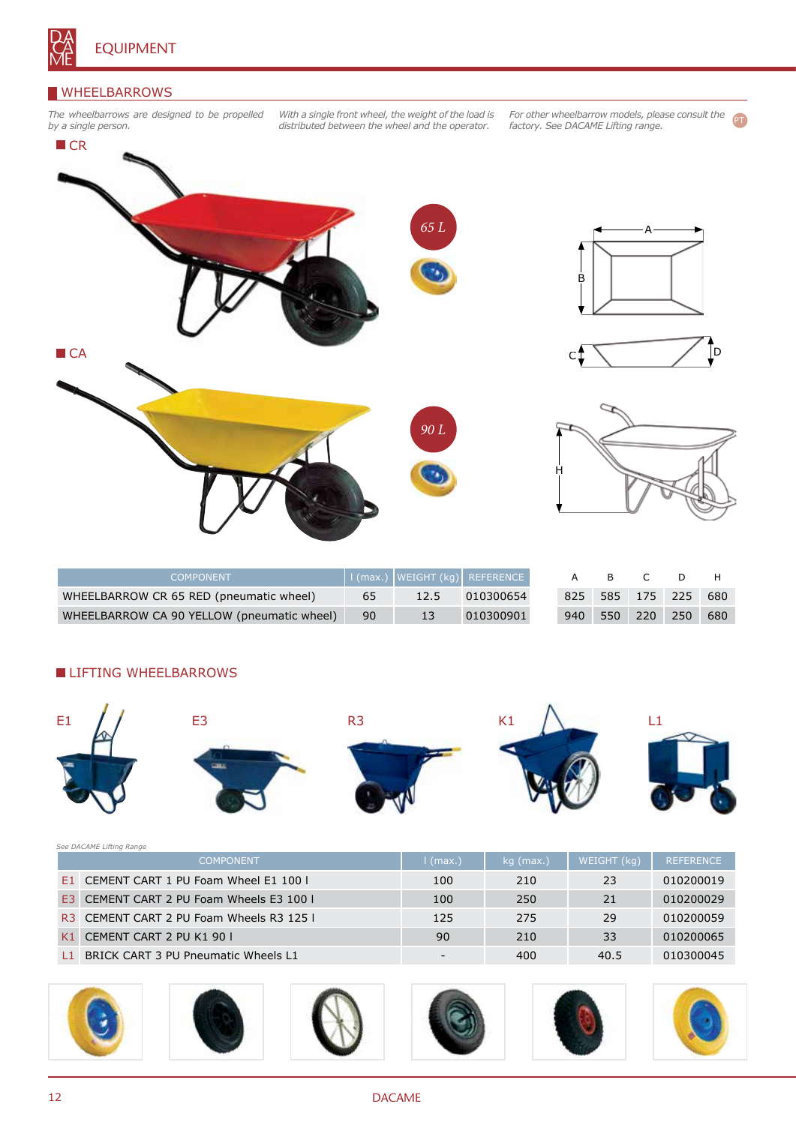

### WHEELBARROWS

*The wheelbarrows are designed to be propelled by a single person.*

*With a single front wheel, the weight of the load is distributed between the wheel and the operator.*

*For other wheelbarrow models, please consult the factory. See DACAME Lifting range.* PT



| COMPONENT                                  |    |      | I (max.) WEIGHT (kg)   REFERENCE |     | B C |                     |     |
|--------------------------------------------|----|------|----------------------------------|-----|-----|---------------------|-----|
| WHEELBARROW CR 65 RED (pneumatic wheel)    | 65 | 12.5 | 010300654                        |     |     | 825 585 175 225 680 |     |
| WHEELBARROW CA 90 YELLOW (pneumatic wheel) | 90 |      | 010300901                        | 940 |     | 550 220 250         | 680 |

### **LIFTING WHEELBARROWS**



| See DACAME Lifting Range |                                          |                          |             |             |                  |  |  |  |
|--------------------------|------------------------------------------|--------------------------|-------------|-------------|------------------|--|--|--|
|                          | <b>COMPONENT</b>                         | $\mid$ (max.)            | $kg$ (max.) | WEIGHT (kg) | <b>REFERENCE</b> |  |  |  |
|                          | E1 CEMENT CART 1 PU Foam Wheel E1 100 l  | 100                      | 210         | 23          | 010200019        |  |  |  |
| F3.                      | CEMENT CART 2 PU Foam Wheels E3 100 I    | 100                      | 250         | 21          | 010200029        |  |  |  |
|                          | R3 CEMENT CART 2 PU Foam Wheels R3 125 L | 125                      | 275         | 29          | 010200059        |  |  |  |
| K1                       | CEMENT CART 2 PU K1 90 L                 | 90                       | 210         | 33          | 010200065        |  |  |  |
| I 1                      | BRICK CART 3 PU Pneumatic Wheels L1      | $\overline{\phantom{0}}$ | 400         | 40.5        | 010300045        |  |  |  |

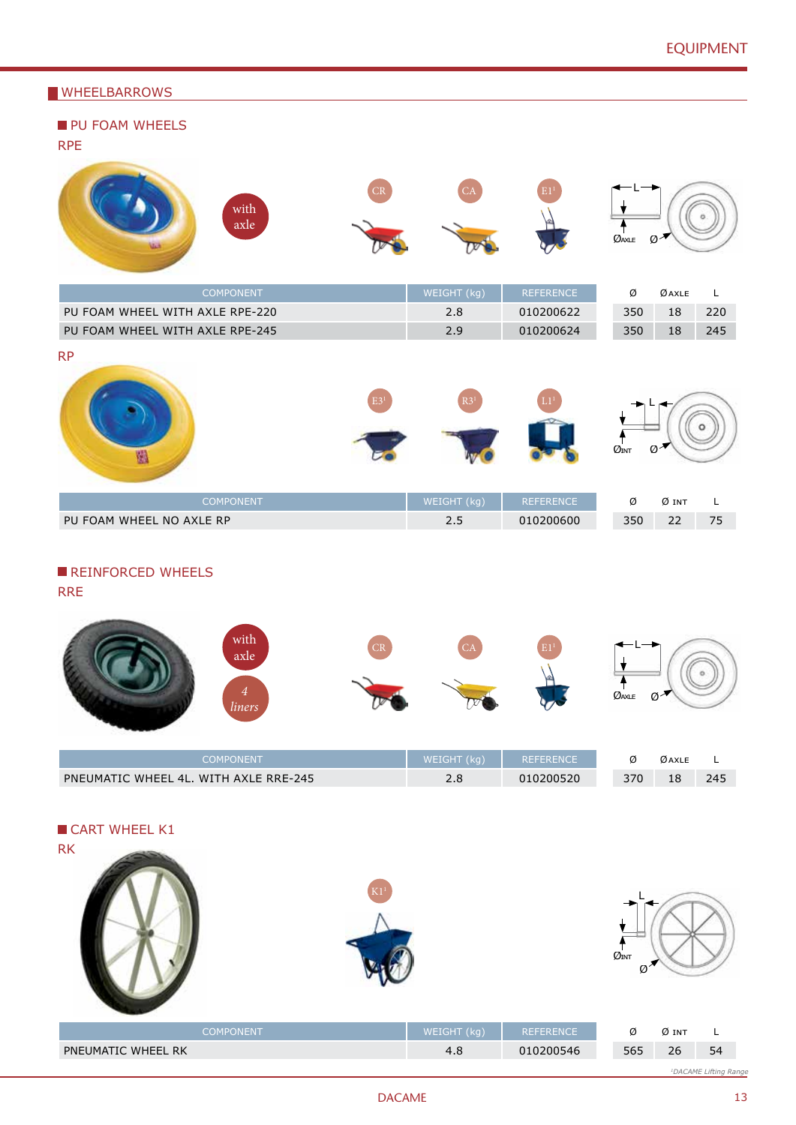# **WHEELBARROWS**

| <b>VVIILLLDANNOWS</b>                                     |    |                 |                  |                                                       |
|-----------------------------------------------------------|----|-----------------|------------------|-------------------------------------------------------|
| PU FOAM WHEELS<br><b>RPE</b>                              |    |                 |                  |                                                       |
| with<br>$\operatorname{axle}$                             | CR | $C\overline{A}$ |                  | ØAXLE<br>$\varnothing$                                |
| COMPONENT                                                 |    | WEIGHT (kg)     | REFERENCE        | Ø<br>$\emptyset$ axle<br>$\mathsf L$                  |
| PU FOAM WHEEL WITH AXLE RPE-220                           |    | 2.8             | 010200622        | 350<br>18<br>220                                      |
| PU FOAM WHEEL WITH AXLE RPE-245                           |    | 2.9             | 010200624        | 350<br>18<br>245                                      |
| <b>RP</b><br>圈                                            |    | R3 <sup>1</sup> |                  | $\emptyset^{\mathcal{A}}$<br>$\varnothing_\text{INT}$ |
| COMPONENT                                                 |    | WEIGHT (kg)     | REFERENCE        | Ø<br>$Ø$ int<br>$\mathsf L$                           |
| PU FOAM WHEEL NO AXLE RP                                  |    | 2.5             | 010200600        | 22<br>350<br>75                                       |
| REINFORCED WHEELS<br><b>RRE</b><br>with<br>axle<br>liners | CR |                 |                  | $\mathcal{Q}_{\text{AXLE}}$ $\mathcal{Q}$             |
| COMPONENT                                                 |    | WEIGHT (kg)     | <b>REFERENCE</b> | $\emptyset$ axle<br>Ø<br>L                            |
| PNEUMATIC WHEEL 4L. WITH AXLE RRE-245                     |    | $2.8$           | 010200520        | 18<br>245<br>370                                      |
| CART WHEEL K1<br><b>RK</b>                                |    |                 |                  |                                                       |
|                                                           |    |                 |                  | $\mathcal{O}_{\text{INT}}$<br>$\emptyset$             |

| <b>COMPONENT</b>          | WEIGHT (kg)<br><b>REFERENCE</b> |  |     | Ø int |                                   |
|---------------------------|---------------------------------|--|-----|-------|-----------------------------------|
| <b>PNEUMATIC WHEEL RK</b> | 010200546<br>4.8                |  | 565 | 26    | 54                                |
|                           |                                 |  |     |       | <sup>1</sup> DACAME Lifting Range |